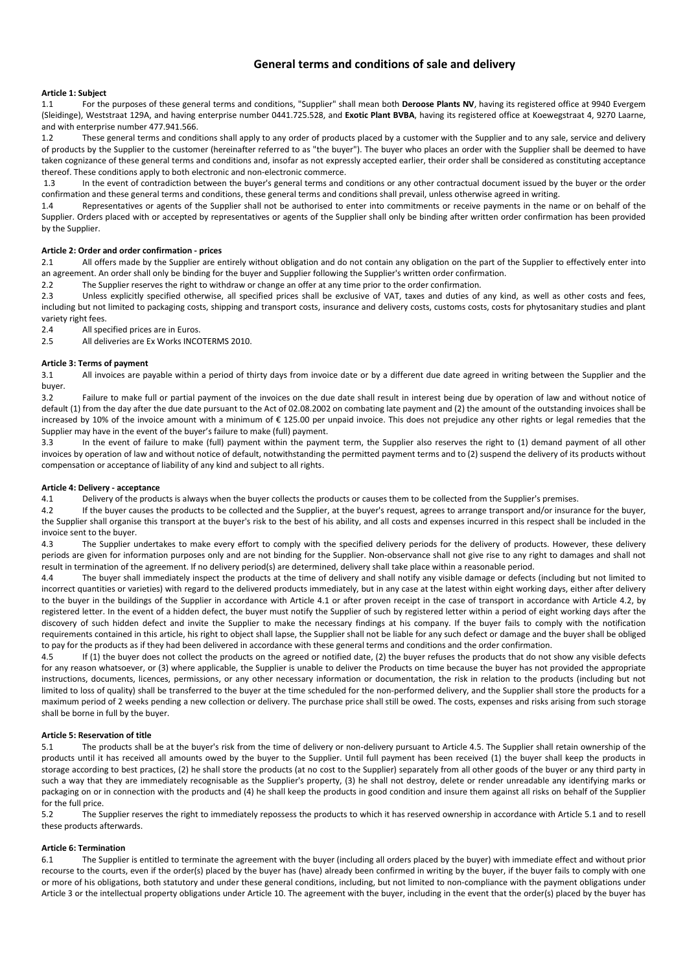# **General terms and conditions of sale and delivery**

# **Article 1: Subject**

1.1 For the purposes of these general terms and conditions, "Supplier" shall mean both **Deroose Plants NV**, having its registered office at 9940 Evergem (Sleidinge), Weststraat 129A, and having enterprise number 0441.725.528, and **Exotic Plant BVBA**, having its registered office at Koewegstraat 4, 9270 Laarne, and with enterprise number 477.941.566.

1.2 These general terms and conditions shall apply to any order of products placed by a customer with the Supplier and to any sale, service and delivery of products by the Supplier to the customer (hereinafter referred to as "the buyer"). The buyer who places an order with the Supplier shall be deemed to have taken cognizance of these general terms and conditions and, insofar as not expressly accepted earlier, their order shall be considered as constituting acceptance thereof. These conditions apply to both electronic and non-electronic commerce.

 1.3 In the event of contradiction between the buyer's general terms and conditions or any other contractual document issued by the buyer or the order confirmation and these general terms and conditions, these general terms and conditions shall prevail, unless otherwise agreed in writing.

1.4 Representatives or agents of the Supplier shall not be authorised to enter into commitments or receive payments in the name or on behalf of the Supplier. Orders placed with or accepted by representatives or agents of the Supplier shall only be binding after written order confirmation has been provided by the Supplier.

# **Article 2: Order and order confirmation - prices**

2.1 All offers made by the Supplier are entirely without obligation and do not contain any obligation on the part of the Supplier to effectively enter into an agreement. An order shall only be binding for the buyer and Supplier following the Supplier's written order confirmation.

2.2 The Supplier reserves the right to withdraw or change an offer at any time prior to the order confirmation.

2.3 Unless explicitly specified otherwise, all specified prices shall be exclusive of VAT, taxes and duties of any kind, as well as other costs and fees, including but not limited to packaging costs, shipping and transport costs, insurance and delivery costs, customs costs, costs for phytosanitary studies and plant variety right fees.

2.4 All specified prices are in Euros.

2.5 All deliveries are Ex Works INCOTERMS 2010.

# **Article 3: Terms of payment**

3.1 All invoices are payable within a period of thirty days from invoice date or by a different due date agreed in writing between the Supplier and the buyer.

3.2 Failure to make full or partial payment of the invoices on the due date shall result in interest being due by operation of law and without notice of default (1) from the day after the due date pursuant to the Act of 02.08.2002 on combating late payment and (2) the amount of the outstanding invoices shall be increased by 10% of the invoice amount with a minimum of  $\epsilon$  125.00 per unpaid invoice. This does not prejudice any other rights or legal remedies that the Supplier may have in the event of the buyer's failure to make (full) payment.

3.3 In the event of failure to make (full) payment within the payment term, the Supplier also reserves the right to (1) demand payment of all other invoices by operation of law and without notice of default, notwithstanding the permitted payment terms and to (2) suspend the delivery of its products without compensation or acceptance of liability of any kind and subject to all rights.

## **Article 4: Delivery - acceptance**

4.1 Delivery of the products is always when the buyer collects the products or causes them to be collected from the Supplier's premises.

4.2 If the buyer causes the products to be collected and the Supplier, at the buyer's request, agrees to arrange transport and/or insurance for the buyer, the Supplier shall organise this transport at the buyer's risk to the best of his ability, and all costs and expenses incurred in this respect shall be included in the invoice sent to the buyer.

4.3 The Supplier undertakes to make every effort to comply with the specified delivery periods for the delivery of products. However, these delivery periods are given for information purposes only and are not binding for the Supplier. Non-observance shall not give rise to any right to damages and shall not result in termination of the agreement. If no delivery period(s) are determined, delivery shall take place within a reasonable period.

4.4 The buyer shall immediately inspect the products at the time of delivery and shall notify any visible damage or defects (including but not limited to incorrect quantities or varieties) with regard to the delivered products immediately, but in any case at the latest within eight working days, either after delivery to the buyer in the buildings of the Supplier in accordance with Article 4.1 or after proven receipt in the case of transport in accordance with Article 4.2, by registered letter. In the event of a hidden defect, the buyer must notify the Supplier of such by registered letter within a period of eight working days after the discovery of such hidden defect and invite the Supplier to make the necessary findings at his company. If the buyer fails to comply with the notification requirements contained in this article, his right to object shall lapse, the Supplier shall not be liable for any such defect or damage and the buyer shall be obliged to pay for the products as if they had been delivered in accordance with these general terms and conditions and the order confirmation.

4.5 If (1) the buyer does not collect the products on the agreed or notified date, (2) the buyer refuses the products that do not show any visible defects for any reason whatsoever, or (3) where applicable, the Supplier is unable to deliver the Products on time because the buyer has not provided the appropriate instructions, documents, licences, permissions, or any other necessary information or documentation, the risk in relation to the products (including but not limited to loss of quality) shall be transferred to the buyer at the time scheduled for the non-performed delivery, and the Supplier shall store the products for a maximum period of 2 weeks pending a new collection or delivery. The purchase price shall still be owed. The costs, expenses and risks arising from such storage shall be borne in full by the buyer.

# **Article 5: Reservation of title**

5.1 The products shall be at the buyer's risk from the time of delivery or non-delivery pursuant to Article 4.5. The Supplier shall retain ownership of the products until it has received all amounts owed by the buyer to the Supplier. Until full payment has been received (1) the buyer shall keep the products in storage according to best practices, (2) he shall store the products (at no cost to the Supplier) separately from all other goods of the buyer or any third party in such a way that they are immediately recognisable as the Supplier's property, (3) he shall not destroy, delete or render unreadable any identifying marks or packaging on or in connection with the products and (4) he shall keep the products in good condition and insure them against all risks on behalf of the Supplier for the full price.

5.2 The Supplier reserves the right to immediately repossess the products to which it has reserved ownership in accordance with Article 5.1 and to resell these products afterwards.

# **Article 6: Termination**

6.1 The Supplier is entitled to terminate the agreement with the buyer (including all orders placed by the buyer) with immediate effect and without prior recourse to the courts, even if the order(s) placed by the buyer has (have) already been confirmed in writing by the buyer, if the buyer fails to comply with one or more of his obligations, both statutory and under these general conditions, including, but not limited to non-compliance with the payment obligations under Article 3 or the intellectual property obligations under Article 10. The agreement with the buyer, including in the event that the order(s) placed by the buyer has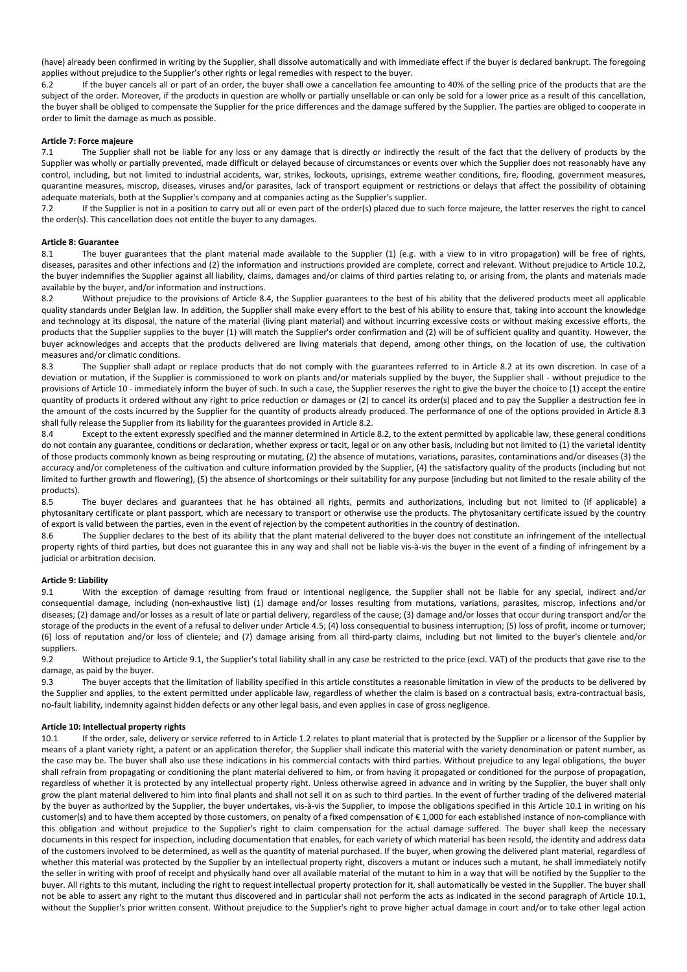(have) already been confirmed in writing by the Supplier, shall dissolve automatically and with immediate effect if the buyer is declared bankrupt. The foregoing applies without prejudice to the Supplier's other rights or legal remedies with respect to the buyer.

6.2 If the buyer cancels all or part of an order, the buyer shall owe a cancellation fee amounting to 40% of the selling price of the products that are the subject of the order. Moreover, if the products in question are wholly or partially unsellable or can only be sold for a lower price as a result of this cancellation, the buyer shall be obliged to compensate the Supplier for the price differences and the damage suffered by the Supplier. The parties are obliged to cooperate in order to limit the damage as much as possible.

## **Article 7: Force majeure**

7.1 The Supplier shall not be liable for any loss or any damage that is directly or indirectly the result of the fact that the delivery of products by the Supplier was wholly or partially prevented, made difficult or delayed because of circumstances or events over which the Supplier does not reasonably have any control, including, but not limited to industrial accidents, war, strikes, lockouts, uprisings, extreme weather conditions, fire, flooding, government measures, quarantine measures, miscrop, diseases, viruses and/or parasites, lack of transport equipment or restrictions or delays that affect the possibility of obtaining adequate materials, both at the Supplier's company and at companies acting as the Supplier's supplier.

7.2 If the Supplier is not in a position to carry out all or even part of the order(s) placed due to such force majeure, the latter reserves the right to cancel the order(s). This cancellation does not entitle the buyer to any damages.

## **Article 8: Guarantee**

8.1 The buyer guarantees that the plant material made available to the Supplier (1) (e.g. with a view to in vitro propagation) will be free of rights, diseases, parasites and other infections and (2) the information and instructions provided are complete, correct and relevant. Without prejudice to Article 10.2, the buyer indemnifies the Supplier against all liability, claims, damages and/or claims of third parties relating to, or arising from, the plants and materials made available by the buyer, and/or information and instructions.

8.2 Without prejudice to the provisions of Article 8.4, the Supplier guarantees to the best of his ability that the delivered products meet all applicable quality standards under Belgian law. In addition, the Supplier shall make every effort to the best of his ability to ensure that, taking into account the knowledge and technology at its disposal, the nature of the material (living plant material) and without incurring excessive costs or without making excessive efforts, the products that the Supplier supplies to the buyer (1) will match the Supplier's order confirmation and (2) will be of sufficient quality and quantity. However, the buyer acknowledges and accepts that the products delivered are living materials that depend, among other things, on the location of use, the cultivation measures and/or climatic conditions.

8.3 The Supplier shall adapt or replace products that do not comply with the guarantees referred to in Article 8.2 at its own discretion. In case of a deviation or mutation, if the Supplier is commissioned to work on plants and/or materials supplied by the buyer, the Supplier shall - without prejudice to the provisions of Article 10 - immediately inform the buyer of such. In such a case, the Supplier reserves the right to give the buyer the choice to (1) accept the entire quantity of products it ordered without any right to price reduction or damages or (2) to cancel its order(s) placed and to pay the Supplier a destruction fee in the amount of the costs incurred by the Supplier for the quantity of products already produced. The performance of one of the options provided in Article 8.3 shall fully release the Supplier from its liability for the guarantees provided in Article 8.2.

8.4 Except to the extent expressly specified and the manner determined in Article 8.2, to the extent permitted by applicable law, these general conditions do not contain any guarantee, conditions or declaration, whether express or tacit, legal or on any other basis, including but not limited to (1) the varietal identity of those products commonly known as being resprouting or mutating, (2) the absence of mutations, variations, parasites, contaminations and/or diseases (3) the accuracy and/or completeness of the cultivation and culture information provided by the Supplier, (4) the satisfactory quality of the products (including but not limited to further growth and flowering), (5) the absence of shortcomings or their suitability for any purpose (including but not limited to the resale ability of the products).

8.5 The buyer declares and guarantees that he has obtained all rights, permits and authorizations, including but not limited to (if applicable) a phytosanitary certificate or plant passport, which are necessary to transport or otherwise use the products. The phytosanitary certificate issued by the country of export is valid between the parties, even in the event of rejection by the competent authorities in the country of destination.

8.6 The Supplier declares to the best of its ability that the plant material delivered to the buyer does not constitute an infringement of the intellectual property rights of third parties, but does not guarantee this in any way and shall not be liable vis-à-vis the buyer in the event of a finding of infringement by a judicial or arbitration decision.

## **Article 9: Liability**

9.1 With the exception of damage resulting from fraud or intentional negligence, the Supplier shall not be liable for any special, indirect and/or consequential damage, including (non-exhaustive list) (1) damage and/or losses resulting from mutations, variations, parasites, miscrop, infections and/or diseases; (2) damage and/or losses as a result of late or partial delivery, regardless of the cause; (3) damage and/or losses that occur during transport and/or the storage of the products in the event of a refusal to deliver under Article 4.5; (4) loss consequential to business interruption; (5) loss of profit, income or turnover; (6) loss of reputation and/or loss of clientele; and (7) damage arising from all third-party claims, including but not limited to the buyer's clientele and/or suppliers.

9.2 Without prejudice to Article 9.1, the Supplier's total liability shall in any case be restricted to the price (excl. VAT) of the products that gave rise to the damage, as paid by the buyer.

9.3 The buyer accepts that the limitation of liability specified in this article constitutes a reasonable limitation in view of the products to be delivered by the Supplier and applies, to the extent permitted under applicable law, regardless of whether the claim is based on a contractual basis, extra-contractual basis, no-fault liability, indemnity against hidden defects or any other legal basis, and even applies in case of gross negligence.

## **Article 10: Intellectual property rights**

10.1 If the order, sale, delivery or service referred to in Article 1.2 relates to plant material that is protected by the Supplier or a licensor of the Supplier by means of a plant variety right, a patent or an application therefor, the Supplier shall indicate this material with the variety denomination or patent number, as the case may be. The buyer shall also use these indications in his commercial contacts with third parties. Without prejudice to any legal obligations, the buyer shall refrain from propagating or conditioning the plant material delivered to him, or from having it propagated or conditioned for the purpose of propagation, regardless of whether it is protected by any intellectual property right. Unless otherwise agreed in advance and in writing by the Supplier, the buyer shall only grow the plant material delivered to him into final plants and shall not sell it on as such to third parties. In the event of further trading of the delivered material by the buyer as authorized by the Supplier, the buyer undertakes, vis-à-vis the Supplier, to impose the obligations specified in this Article 10.1 in writing on his customer(s) and to have them accepted by those customers, on penalty of a fixed compensation of € 1,000 for each established instance of non-compliance with this obligation and without prejudice to the Supplier's right to claim compensation for the actual damage suffered. The buyer shall keep the necessary documents in this respect for inspection, including documentation that enables, for each variety of which material has been resold, the identity and address data of the customers involved to be determined, as well as the quantity of material purchased. If the buyer, when growing the delivered plant material, regardless of whether this material was protected by the Supplier by an intellectual property right, discovers a mutant or induces such a mutant, he shall immediately notify the seller in writing with proof of receipt and physically hand over all available material of the mutant to him in a way that will be notified by the Supplier to the buyer. All rights to this mutant, including the right to request intellectual property protection for it, shall automatically be vested in the Supplier. The buyer shall not be able to assert any right to the mutant thus discovered and in particular shall not perform the acts as indicated in the second paragraph of Article 10.1, without the Supplier's prior written consent. Without prejudice to the Supplier's right to prove higher actual damage in court and/or to take other legal action